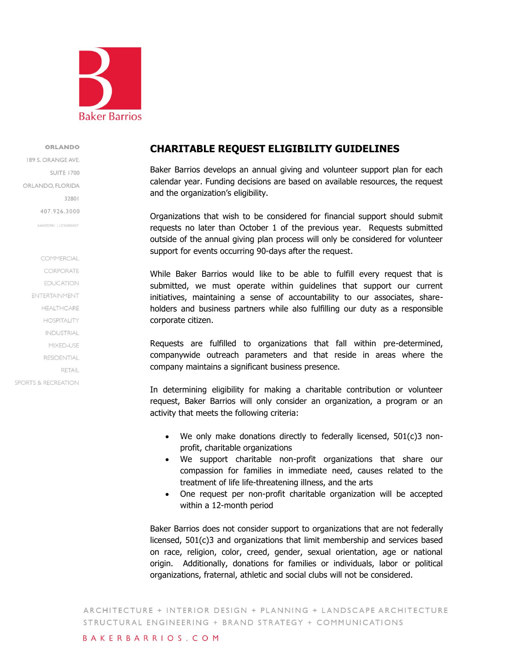

ORLANDO

189 S. ORANGE AVE. SUITE 1700 ORLANDO, FLORIDA 32801 407.926.3000 AA0002981 | LC26000427

COMMERCIAL CORPORATE **EDUCATION** ENTERTAINMENT **HEALTHCARE HOSPITALITY INDUSTRIAL** MIXED-USE **RESIDENTIAL RETAIL SPORTS & RECREATION** 

# **CHARITABLE REQUEST ELIGIBILITY GUIDELINES**

Baker Barrios develops an annual giving and volunteer support plan for each calendar year. Funding decisions are based on available resources, the request and the organization's eligibility.

Organizations that wish to be considered for financial support should submit requests no later than October 1 of the previous year. Requests submitted outside of the annual giving plan process will only be considered for volunteer support for events occurring 90-days after the request.

While Baker Barrios would like to be able to fulfill every request that is submitted, we must operate within guidelines that support our current initiatives, maintaining a sense of accountability to our associates, shareholders and business partners while also fulfilling our duty as a responsible corporate citizen.

Requests are fulfilled to organizations that fall within pre-determined, companywide outreach parameters and that reside in areas where the company maintains a significant business presence.

In determining eligibility for making a charitable contribution or volunteer request, Baker Barrios will only consider an organization, a program or an activity that meets the following criteria:

- We only make donations directly to federally licensed, 501(c)3 nonprofit, charitable organizations
- We support charitable non-profit organizations that share our compassion for families in immediate need, causes related to the treatment of life life-threatening illness, and the arts
- One request per non-profit charitable organization will be accepted within a 12-month period

Baker Barrios does not consider support to organizations that are not federally licensed, 501(c)3 and organizations that limit membership and services based on race, religion, color, creed, gender, sexual orientation, age or national origin. Additionally, donations for families or individuals, labor or political organizations, fraternal, athletic and social clubs will not be considered.

ARCHITECTURE + INTERIOR DESIGN + PLANNING + LANDSCAPE ARCHITECTURE STRUCTURAL ENGINEERING + BRAND STRATEGY + COMMUNICATIONS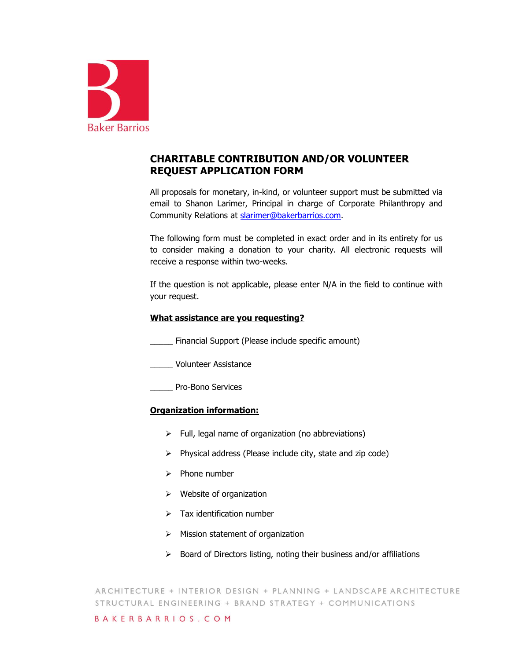

# **CHARITABLE CONTRIBUTION AND/OR VOLUNTEER REQUEST APPLICATION FORM**

All proposals for monetary, in-kind, or volunteer support must be submitted via email to Shanon Larimer, Principal in charge of Corporate Philanthropy and Community Relations at [slarimer@bakerbarrios.com.](mailto:slarimer@bakerbarrios.com)

The following form must be completed in exact order and in its entirety for us to consider making a donation to your charity. All electronic requests will receive a response within two-weeks.

If the question is not applicable, please enter N/A in the field to continue with your request.

#### **What assistance are you requesting?**

\_\_\_\_\_ Financial Support (Please include specific amount)

\_\_\_\_\_ Volunteer Assistance

\_\_\_\_\_ Pro-Bono Services

# **Organization information:**

- $\triangleright$  Full, legal name of organization (no abbreviations)
- $\triangleright$  Physical address (Please include city, state and zip code)
- $\triangleright$  Phone number
- $\triangleright$  Website of organization
- $\triangleright$  Tax identification number
- $\triangleright$  Mission statement of organization
- $\triangleright$  Board of Directors listing, noting their business and/or affiliations

ARCHITECTURE + INTERIOR DESIGN + PLANNING + LANDSCAPE ARCHITECTURE STRUCTURAL ENGINEERING + BRAND STRATEGY + COMMUNICATIONS